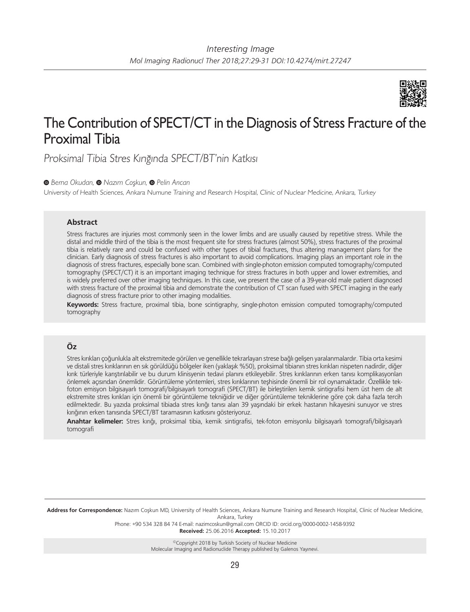

# The Contribution of SPECT/CT in the Diagnosis of Stress Fracture of the Proximal Tibia

Proksimal Tibia Stres Kırığında SPECT/BT'nin Katkısı

*Berna Okudan,Nazım Coşkun,Pelin Arıcan*

University of Health Sciences, Ankara Numune Training and Research Hospital, Clinic of Nuclear Medicine, Ankara, Turkey

## **Abstract**

Stress fractures are injuries most commonly seen in the lower limbs and are usually caused by repetitive stress. While the distal and middle third of the tibia is the most frequent site for stress fractures (almost 50%), stress fractures of the proximal tibia is relatively rare and could be confused with other types of tibial fractures, thus altering management plans for the clinician. Early diagnosis of stress fractures is also important to avoid complications. Imaging plays an important role in the diagnosis of stress fractures, especially bone scan. Combined with single-photon emission computed tomography/computed tomography (SPECT/CT) it is an important imaging technique for stress fractures in both upper and lower extremities, and is widely preferred over other imaging techniques. In this case, we present the case of a 39-year-old male patient diagnosed with stress fracture of the proximal tibia and demonstrate the contribution of CT scan fused with SPECT imaging in the early diagnosis of stress fracture prior to other imaging modalities.

**Keywords:** Stress fracture, proximal tibia, bone scintigraphy, single-photon emission computed tomography/computed tomography

# **Öz**

Stres kırıkları çoğunlukla alt ekstremitede görülen ve genellikle tekrarlayan strese bağlı gelişen yaralanmalardır. Tibia orta kesimi ve distali stres kırıklarının en sık görüldüğü bölgeler iken (yaklaşık %50), proksimal tibianın stres kırıkları nispeten nadirdir, diğer kırık türleriyle karıştırılabilir ve bu durum klinisyenin tedavi planını etkileyebilir. Stres kırıklarının erken tanısı komplikasyonları önlemek açısından önemlidir. Görüntüleme yöntemleri, stres kırıklarının teşhisinde önemli bir rol oynamaktadır. Özellikle tekfoton emisyon bilgisayarlı tomografi/bilgisayarlı tomografi (SPECT/BT) ile birleştirilen kemik sintigrafisi hem üst hem de alt ekstremite stres kırıkları için önemli bir görüntüleme tekniğidir ve diğer görüntüleme tekniklerine göre çok daha fazla tercih edilmektedir. Bu yazıda proksimal tibiada stres kırığı tanısı alan 39 yaşındaki bir erkek hastanın hikayesini sunuyor ve stres kırığının erken tanısında SPECT/BT taramasının katkısını gösteriyoruz.

**Anahtar kelimeler:** Stres kırığı, proksimal tibia, kemik sintigrafisi, tek-foton emisyonlu bilgisayarlı tomografi/bilgisayarlı tomografi

**Address for Correspondence:** Nazım Coşkun MD, University of Health Sciences, Ankara Numune Training and Research Hospital, Clinic of Nuclear Medicine, Ankara, Turkey

Phone: +90 534 328 84 74 E-mail: nazimcoskun@gmail.com ORCID ID: orcid.org/0000-0002-1458-9392

**Received:** 25.06.2016 **Accepted:** 15.10.2017

©Copyright 2018 by Turkish Society of Nuclear Medicine Molecular Imaging and Radionuclide Therapy published by Galenos Yayınevi.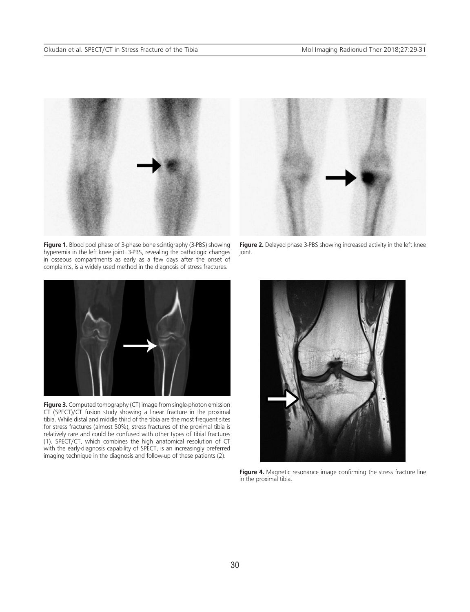

**Figure 1.** Blood pool phase of 3-phase bone scintigraphy (3-PBS) showing hyperemia in the left knee joint. 3-PBS, revealing the pathologic changes in osseous compartments as early as a few days after the onset of complaints, is a widely used method in the diagnosis of stress fractures.



**Figure 3.** Computed tomography (CT) image from single-photon emission CT (SPECT)/CT fusion study showing a linear fracture in the proximal tibia. While distal and middle third of the tibia are the most frequent sites for stress fractures (almost 50%), stress fractures of the proximal tibia is relatively rare and could be confused with other types of tibial fractures (1). SPECT/CT, which combines the high anatomical resolution of CT with the early-diagnosis capability of SPECT, is an increasingly preferred imaging technique in the diagnosis and follow-up of these patients (2).



**Figure 2.** Delayed phase 3-PBS showing increased activity in the left knee joint.



**Figure 4.** Magnetic resonance image confirming the stress fracture line in the proximal tibia.